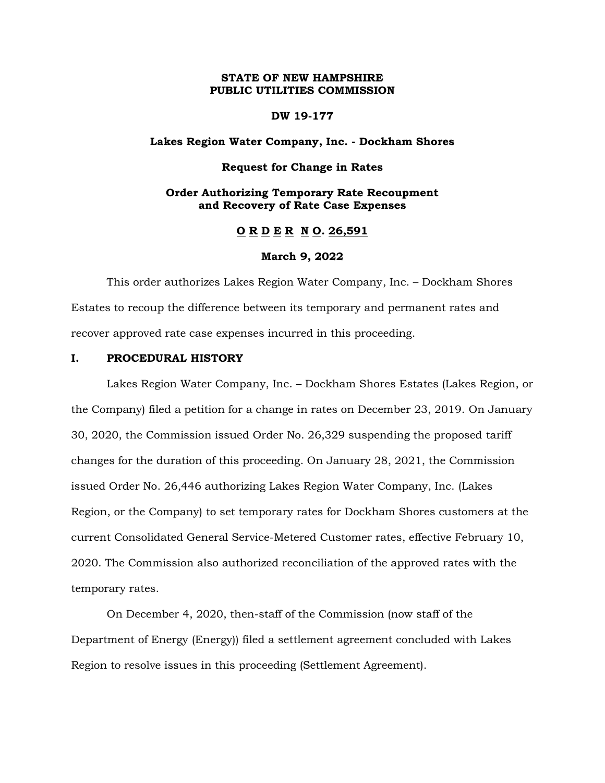# **STATE OF NEW HAMPSHIRE PUBLIC UTILITIES COMMISSION**

#### **DW 19-177**

# **Lakes Region Water Company, Inc. - Dockham Shores**

#### **Request for Change in Rates**

# **Order Authorizing Temporary Rate Recoupment and Recovery of Rate Case Expenses**

## **O R D E R N O. 26,591**

#### **March 9, 2022**

This order authorizes Lakes Region Water Company, Inc. – Dockham Shores Estates to recoup the difference between its temporary and permanent rates and recover approved rate case expenses incurred in this proceeding.

# **I. PROCEDURAL HISTORY**

Lakes Region Water Company, Inc. – Dockham Shores Estates (Lakes Region, or the Company) filed a petition for a change in rates on December 23, 2019. On January 30, 2020, the Commission issued Order No. 26,329 suspending the proposed tariff changes for the duration of this proceeding. On January 28, 2021, the Commission issued Order No. 26,446 authorizing Lakes Region Water Company, Inc. (Lakes Region, or the Company) to set temporary rates for Dockham Shores customers at the current Consolidated General Service-Metered Customer rates, effective February 10, 2020. The Commission also authorized reconciliation of the approved rates with the temporary rates.

On December 4, 2020, then-staff of the Commission (now staff of the Department of Energy (Energy)) filed a settlement agreement concluded with Lakes Region to resolve issues in this proceeding (Settlement Agreement).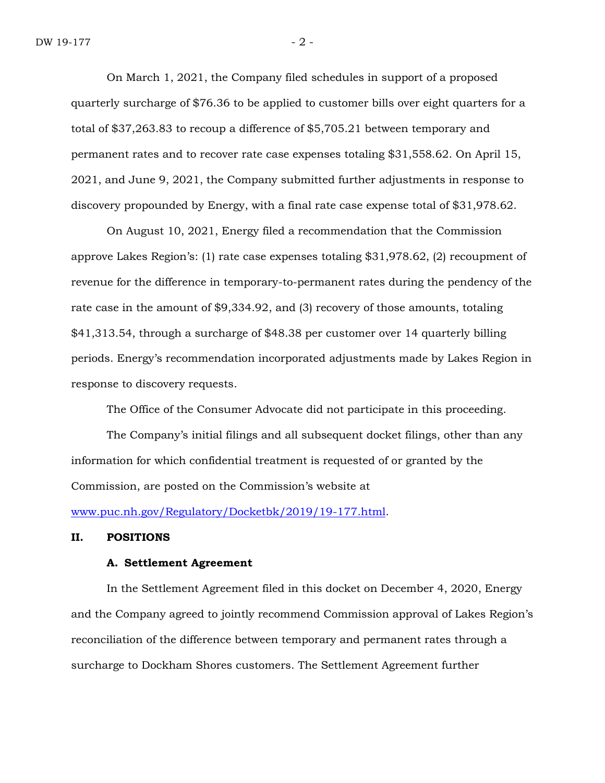On March 1, 2021, the Company filed schedules in support of a proposed quarterly surcharge of \$76.36 to be applied to customer bills over eight quarters for a total of \$37,263.83 to recoup a difference of \$5,705.21 between temporary and permanent rates and to recover rate case expenses totaling \$31,558.62. On April 15, 2021, and June 9, 2021, the Company submitted further adjustments in response to discovery propounded by Energy, with a final rate case expense total of \$31,978.62.

On August 10, 2021, Energy filed a recommendation that the Commission approve Lakes Region's: (1) rate case expenses totaling \$31,978.62, (2) recoupment of revenue for the difference in temporary-to-permanent rates during the pendency of the rate case in the amount of \$9,334.92, and (3) recovery of those amounts, totaling \$41,313.54, through a surcharge of \$48.38 per customer over 14 quarterly billing periods. Energy's recommendation incorporated adjustments made by Lakes Region in response to discovery requests.

The Office of the Consumer Advocate did not participate in this proceeding.

The Company's initial filings and all subsequent docket filings, other than any information for which confidential treatment is requested of or granted by the Commission, are posted on the Commission's website at

[www.puc.nh.gov/Regulatory/Docketbk/2019/19-177.html.](http://www.puc.nh.gov/Regulatory/Docketbk/2019/19-177.html)

## **II. POSITIONS**

#### **A. Settlement Agreement**

In the Settlement Agreement filed in this docket on December 4, 2020, Energy and the Company agreed to jointly recommend Commission approval of Lakes Region's reconciliation of the difference between temporary and permanent rates through a surcharge to Dockham Shores customers. The Settlement Agreement further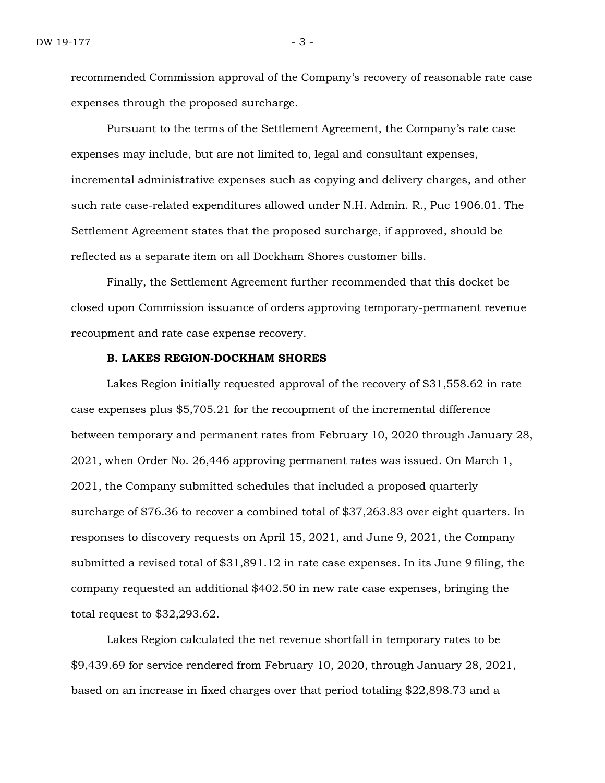recommended Commission approval of the Company's recovery of reasonable rate case expenses through the proposed surcharge.

Pursuant to the terms of the Settlement Agreement, the Company's rate case expenses may include, but are not limited to, legal and consultant expenses, incremental administrative expenses such as copying and delivery charges, and other such rate case-related expenditures allowed under N.H. Admin. R., Puc 1906.01. The Settlement Agreement states that the proposed surcharge, if approved, should be reflected as a separate item on all Dockham Shores customer bills.

Finally, the Settlement Agreement further recommended that this docket be closed upon Commission issuance of orders approving temporary-permanent revenue recoupment and rate case expense recovery.

# **B. LAKES REGION-DOCKHAM SHORES**

Lakes Region initially requested approval of the recovery of \$31,558.62 in rate case expenses plus \$5,705.21 for the recoupment of the incremental difference between temporary and permanent rates from February 10, 2020 through January 28, 2021, when Order No. 26,446 approving permanent rates was issued. On March 1, 2021, the Company submitted schedules that included a proposed quarterly surcharge of \$76.36 to recover a combined total of \$37,263.83 over eight quarters. In responses to discovery requests on April 15, 2021, and June 9, 2021, the Company submitted a revised total of \$31,891.12 in rate case expenses. In its June 9 filing, the company requested an additional \$402.50 in new rate case expenses, bringing the total request to \$32,293.62.

Lakes Region calculated the net revenue shortfall in temporary rates to be \$9,439.69 for service rendered from February 10, 2020, through January 28, 2021, based on an increase in fixed charges over that period totaling \$22,898.73 and a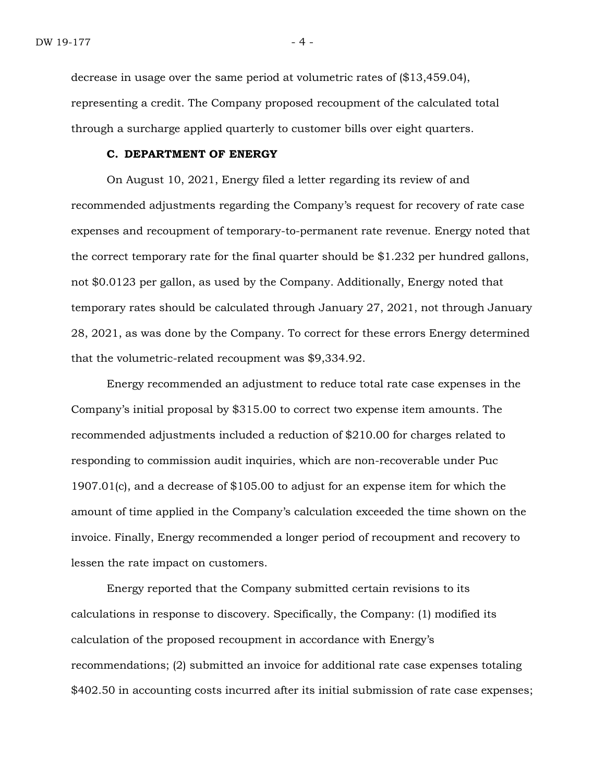decrease in usage over the same period at volumetric rates of (\$13,459.04), representing a credit. The Company proposed recoupment of the calculated total through a surcharge applied quarterly to customer bills over eight quarters.

## **C. DEPARTMENT OF ENERGY**

On August 10, 2021, Energy filed a letter regarding its review of and recommended adjustments regarding the Company's request for recovery of rate case expenses and recoupment of temporary-to-permanent rate revenue. Energy noted that the correct temporary rate for the final quarter should be \$1.232 per hundred gallons, not \$0.0123 per gallon, as used by the Company. Additionally, Energy noted that temporary rates should be calculated through January 27, 2021, not through January 28, 2021, as was done by the Company. To correct for these errors Energy determined that the volumetric-related recoupment was \$9,334.92.

Energy recommended an adjustment to reduce total rate case expenses in the Company's initial proposal by \$315.00 to correct two expense item amounts. The recommended adjustments included a reduction of \$210.00 for charges related to responding to commission audit inquiries, which are non-recoverable under Puc 1907.01(c), and a decrease of \$105.00 to adjust for an expense item for which the amount of time applied in the Company's calculation exceeded the time shown on the invoice. Finally, Energy recommended a longer period of recoupment and recovery to lessen the rate impact on customers.

Energy reported that the Company submitted certain revisions to its calculations in response to discovery. Specifically, the Company: (1) modified its calculation of the proposed recoupment in accordance with Energy's recommendations; (2) submitted an invoice for additional rate case expenses totaling \$402.50 in accounting costs incurred after its initial submission of rate case expenses;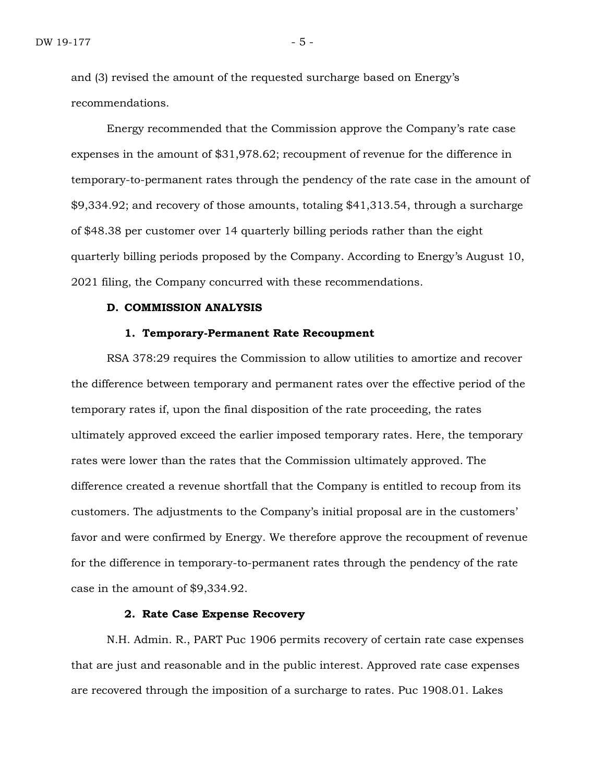and (3) revised the amount of the requested surcharge based on Energy's recommendations.

Energy recommended that the Commission approve the Company's rate case expenses in the amount of \$31,978.62; recoupment of revenue for the difference in temporary-to-permanent rates through the pendency of the rate case in the amount of \$9,334.92; and recovery of those amounts, totaling \$41,313.54, through a surcharge of \$48.38 per customer over 14 quarterly billing periods rather than the eight quarterly billing periods proposed by the Company. According to Energy's August 10, 2021 filing, the Company concurred with these recommendations.

#### **D. COMMISSION ANALYSIS**

#### **1. Temporary-Permanent Rate Recoupment**

RSA 378:29 requires the Commission to allow utilities to amortize and recover the difference between temporary and permanent rates over the effective period of the temporary rates if, upon the final disposition of the rate proceeding, the rates ultimately approved exceed the earlier imposed temporary rates. Here, the temporary rates were lower than the rates that the Commission ultimately approved. The difference created a revenue shortfall that the Company is entitled to recoup from its customers. The adjustments to the Company's initial proposal are in the customers' favor and were confirmed by Energy. We therefore approve the recoupment of revenue for the difference in temporary-to-permanent rates through the pendency of the rate case in the amount of \$9,334.92.

# **2. Rate Case Expense Recovery**

N.H. Admin. R., PART Puc 1906 permits recovery of certain rate case expenses that are just and reasonable and in the public interest. Approved rate case expenses are recovered through the imposition of a surcharge to rates. Puc 1908.01. Lakes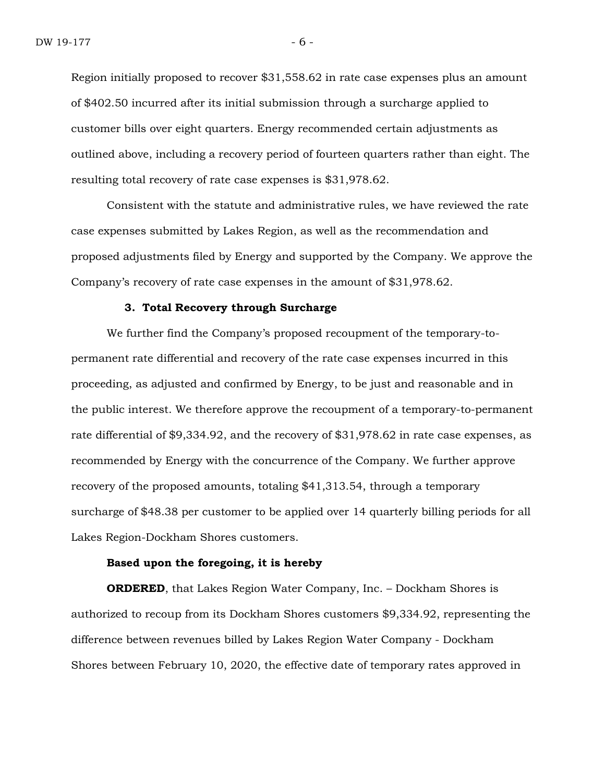Region initially proposed to recover \$31,558.62 in rate case expenses plus an amount of \$402.50 incurred after its initial submission through a surcharge applied to customer bills over eight quarters. Energy recommended certain adjustments as outlined above, including a recovery period of fourteen quarters rather than eight. The resulting total recovery of rate case expenses is \$31,978.62.

Consistent with the statute and administrative rules, we have reviewed the rate case expenses submitted by Lakes Region, as well as the recommendation and proposed adjustments filed by Energy and supported by the Company. We approve the Company's recovery of rate case expenses in the amount of \$31,978.62.

#### **3. Total Recovery through Surcharge**

We further find the Company's proposed recoupment of the temporary-topermanent rate differential and recovery of the rate case expenses incurred in this proceeding, as adjusted and confirmed by Energy, to be just and reasonable and in the public interest. We therefore approve the recoupment of a temporary-to-permanent rate differential of \$9,334.92, and the recovery of \$31,978.62 in rate case expenses, as recommended by Energy with the concurrence of the Company. We further approve recovery of the proposed amounts, totaling \$41,313.54, through a temporary surcharge of \$48.38 per customer to be applied over 14 quarterly billing periods for all Lakes Region-Dockham Shores customers.

#### **Based upon the foregoing, it is hereby**

**ORDERED**, that Lakes Region Water Company, Inc. – Dockham Shores is authorized to recoup from its Dockham Shores customers \$9,334.92, representing the difference between revenues billed by Lakes Region Water Company - Dockham Shores between February 10, 2020, the effective date of temporary rates approved in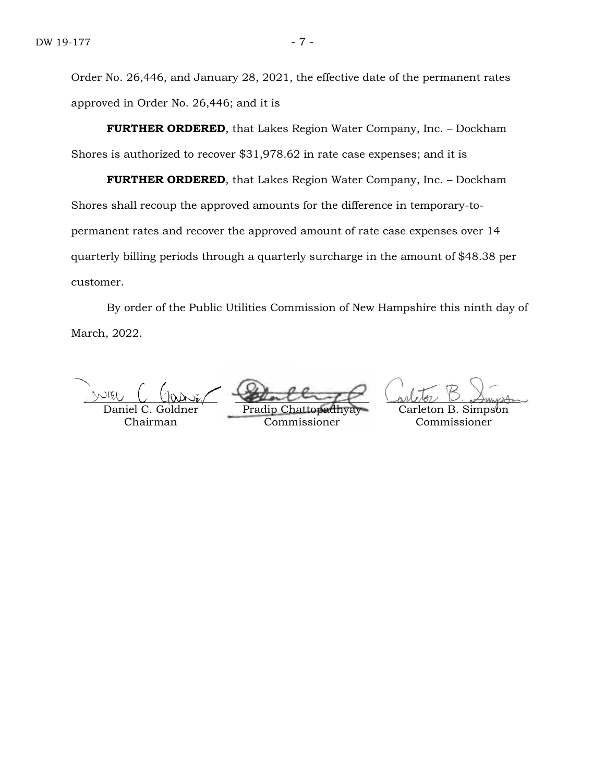Order No. 26,446, and January 28, 2021, the effective date of the permanent rates approved in Order No. 26,446; and it is

**FURTHER ORDERED**, that Lakes Region Water Company, Inc. – Dockham Shores is authorized to recover \$31,978.62 in rate case expenses; and it is

**FURTHER ORDERED**, that Lakes Region Water Company, Inc. – Dockham Shores shall recoup the approved amounts for the difference in temporary-topermanent rates and recover the approved amount of rate case expenses over 14 quarterly billing periods through a quarterly surcharge in the amount of \$48.38 per customer.

By order of the Public Utilities Commission of New Hampshire this ninth day of March, 2022.

Daniel C. Chairman

Pradip

Commissioner

on B. Simpson Commissioner